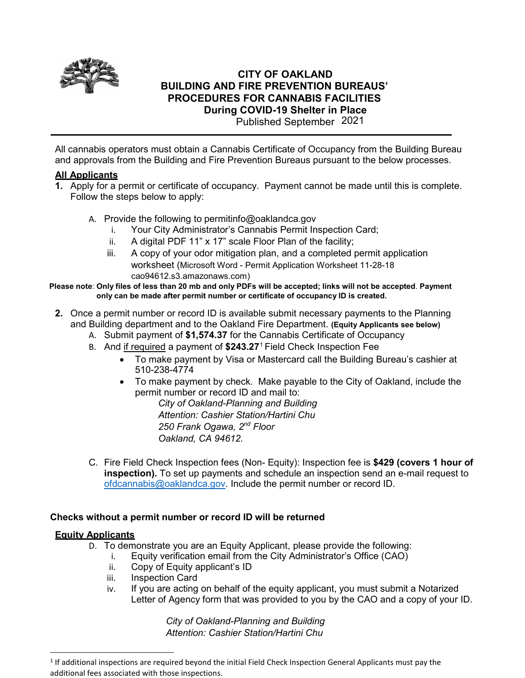

# **CITY OF OAKLAND BUILDING AND FIRE PREVENTION BUREAUS' PROCEDURES FOR CANNABIS FACILITIES During COVID-19 Shelter in Place**

Published September 2021

All cannabis operators must obtain a Cannabis Certificate of Occupancy from the Building Bureau and approvals from the Building and Fire Prevention Bureaus pursuant to the below processes.

## **All Applicants**

- **1.** Apply for a permit or certificate of occupancy. Payment cannot be made until this is complete. Follow the steps below to apply:
	- A. Provide the following to permitinfo@oaklandca.gov
		- i. Your City Administrator's Cannabis Permit Inspection Card;
		- ii. A digital PDF 11" x 17" scale Floor Plan of the facility;
		- iii. A copy of your odor mitigation plan, and a completed permit application worksheet [\(Microsoft Word - Permit Application Worksheet 11-28-18](mailto:cao-94612.s3.amazonaws.com)) [cao94612.s3.amazonaws.com\)](mailto:cao-94612.s3.amazonaws.com))

#### **Please note**: **Only files of less than 20 mb and only PDFs will be accepted; links will not be accepted**. **Payment only can be made after permit number or certificate of occupancy ID is created.**

- **2.** Once a permit number or record ID is available submit necessary payments to the Planning and Building department and to the Oakland Fire Department. **(Equity Applicants see below)**
	- A. Submit payment of **\$1,574.37** for the Cannabis Certificate of Occupancy
	- B. And if required a payment of **\$243.27**[1](#page-0-0) Field Check Inspection Fee
		- To make payment by Visa or Mastercard call the Building Bureau's cashier at 510-238-4774
		- To make payment by check. Make payable to the City of Oakland, include the permit number or record ID and mail to:

*City of Oakland-Planning and Building Attention: Cashier Station/Hartini Chu 250 Frank Ogawa, 2nd Floor Oakland, CA 94612.*

C. Fire Field Check Inspection fees (Non- Equity): Inspection fee is **\$429 (covers 1 hour of inspection).** To set up payments and schedule an inspection send an e-mail request to [ofdcannabis@oaklandca.gov.](mailto:ofdcannabis@oaklandca.gov) Include the permit number or record ID.

### **Checks without a permit number or record ID will be returned**

#### **Equity Applicants**

- D. To demonstrate you are an Equity Applicant, please provide the following:
	- i. Equity verification email from the City Administrator's Office (CAO)
	- ii. Copy of Equity applicant's ID
	- iii. Inspection Card
	- iv. If you are acting on behalf of the equity applicant, you must submit a Notarized Letter of Agency form that was provided to you by the CAO and a copy of your ID.

*City of Oakland-Planning and Building Attention: Cashier Station/Hartini Chu*

<span id="page-0-0"></span><sup>&</sup>lt;sup>1</sup> If additional inspections are required beyond the initial Field Check Inspection General Applicants must pay the additional fees associated with those inspections.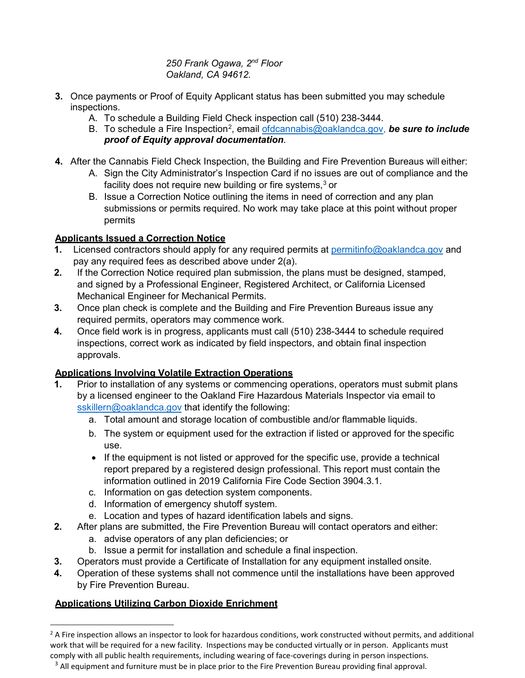*250 Frank Ogawa, 2nd Floor Oakland, CA 94612.*

- **3.** Once payments or Proof of Equity Applicant status has been submitted you may schedule inspections.
	- A. To schedule a Building Field Check inspection call (510) 238-3444.
	- B. To schedule a Fire Inspection<sup>[2](#page-1-0)</sup>, email <u>ofdcannabis@oaklandca.gov</u>, *be sure to include proof of Equity approval documentation*.
- **4.** After the Cannabis Field Check Inspection, the Building and Fire Prevention Bureaus will either:
	- A. Sign the City Administrator's Inspection Card if no issues are out of compliance and the facility does not require new building or fire systems,<sup>[3](#page-1-1)</sup> or
	- B. Issue a Correction Notice outlining the items in need of correction and any plan submissions or permits required. No work may take place at this point without proper permits

## **Applicants Issued a Correction Notice**

- **1.** Licensed contractors should apply for any required permits at [permitinfo@oaklandca.gov](mailto:permitinfo@oaklandca.gov) and pay any required fees as described above under 2(a).
- **2.** If the Correction Notice required plan submission, the plans must be designed, stamped, and signed by a Professional Engineer, Registered Architect, or California Licensed Mechanical Engineer for Mechanical Permits.
- **3.** Once plan check is complete and the Building and Fire Prevention Bureaus issue any required permits, operators may commence work.
- **4.** Once field work is in progress, applicants must call (510) 238-3444 to schedule required inspections, correct work as indicated by field inspectors, and obtain final inspection approvals.

# **Applications Involving Volatile Extraction Operations**

- **1.** Prior to installation of any systems or commencing operations, operators must submit plans by a licensed engineer to the Oakland Fire Hazardous Materials Inspector via email to [sskillern@oaklandca.gov](mailto:sskillern@oaklandca.gov) that identify the following:
	- a. Total amount and storage location of combustible and/or flammable liquids.
	- b. The system or equipment used for the extraction if listed or approved for the specific use.
	- If the equipment is not listed or approved for the specific use, provide a technical report prepared by a registered design professional. This report must contain the information outlined in 2019 California Fire Code Section 3904.3.1.
	- c. Information on gas detection system components.
	- d. Information of emergency shutoff system.
	- e. Location and types of hazard identification labels and signs.
- **2.** After plans are submitted, the Fire Prevention Bureau will contact operators and either:
	- a. advise operators of any plan deficiencies; or
	- b. Issue a permit for installation and schedule a final inspection.
- **3.** Operators must provide a Certificate of Installation for any equipment installed onsite.
- **4.** Operation of these systems shall not commence until the installations have been approved by Fire Prevention Bureau.

## **Applications Utilizing Carbon Dioxide Enrichment**

<span id="page-1-0"></span> $<sup>2</sup>$  A Fire inspection allows an inspector to look for hazardous conditions, work constructed without permits, and additional</sup> work that will be required for a new facility. Inspections may be conducted virtually or in person. Applicants must comply with all public health requirements, including wearing of face-coverings during in person inspections.

<span id="page-1-1"></span> $3$  All equipment and furniture must be in place prior to the Fire Prevention Bureau providing final approval.